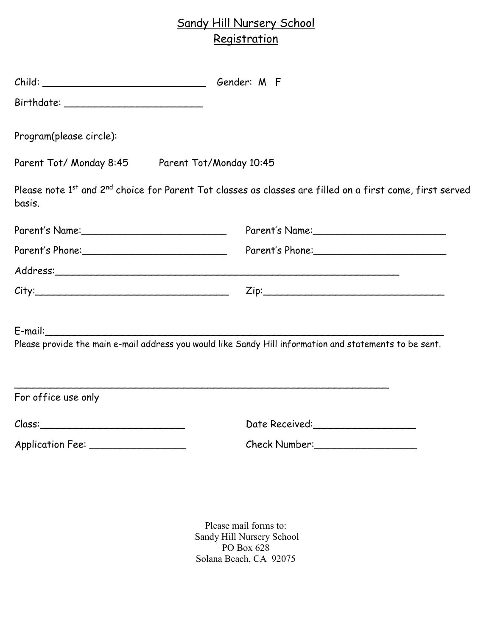## Sandy Hill Nursery School **Registration**

| Child: Child: Child: Child: Child: Child: Child: Child: Child: Child: Child: Child: Child: Child: Child: Child: Child: Child: Child: Child: Child: Child: Child: Child: Child: Child: Child: Child: Child: Child: Child: Child |                                                                                                           |
|--------------------------------------------------------------------------------------------------------------------------------------------------------------------------------------------------------------------------------|-----------------------------------------------------------------------------------------------------------|
|                                                                                                                                                                                                                                |                                                                                                           |
| Program(please circle):                                                                                                                                                                                                        |                                                                                                           |
| Parent Tot/ Monday 8:45 Parent Tot/Monday 10:45                                                                                                                                                                                |                                                                                                           |
| basis.                                                                                                                                                                                                                         | Please note 1st and 2nd choice for Parent Tot classes as classes are filled on a first come, first served |
|                                                                                                                                                                                                                                |                                                                                                           |
|                                                                                                                                                                                                                                | Parent's Phone:                                                                                           |
|                                                                                                                                                                                                                                |                                                                                                           |
|                                                                                                                                                                                                                                |                                                                                                           |
| $E$ -mail:                                                                                                                                                                                                                     |                                                                                                           |
|                                                                                                                                                                                                                                | Please provide the main e-mail address you would like Sandy Hill information and statements to be sent.   |
| For office use only                                                                                                                                                                                                            |                                                                                                           |
|                                                                                                                                                                                                                                |                                                                                                           |
| $\mathcal{C}$ lass: $\qquad \qquad$                                                                                                                                                                                            | Date Received:                                                                                            |
|                                                                                                                                                                                                                                | Check Number:                                                                                             |

Please mail forms to: Sandy Hill Nursery School PO Box 628 Solana Beach, CA 92075